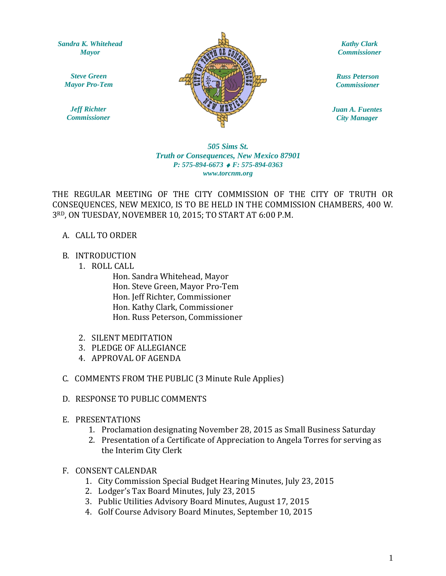*Sandra K. Whitehead Mayor*

*Steve Green Mayor Pro-Tem*

*Jeff Richter Commissioner*



*Kathy Clark Commissioner*

*Russ Peterson Commissioner*

*Juan A. Fuentes City Manager*

### $www.torcnm.org$ *505 Sims St. Truth or Consequences, New Mexico 87901 P: 575-894-6673* ♦ *F: 575-894-0363*

THE REGULAR MEETING OF THE CITY COMMISSION OF THE CITY OF TRUTH OR CONSEQUENCES, NEW MEXICO, IS TO BE HELD IN THE COMMISSION CHAMBERS, 400 W. 3RD, ON TUESDAY, NOVEMBER 10, 2015; TO START AT 6:00 P.M.

### A. CALL TO ORDER

### B. INTRODUCTION

1. ROLL CALL

Hon. Sandra Whitehead, Mayor Hon. Steve Green, Mayor Pro-Tem Hon. Jeff Richter, Commissioner Hon. Kathy Clark, Commissioner Hon. Russ Peterson, Commissioner

- 2. SILENT MEDITATION
- 3. PLEDGE OF ALLEGIANCE
- 4. APPROVAL OF AGENDA
- C. COMMENTS FROM THE PUBLIC (3 Minute Rule Applies)

### D. RESPONSE TO PUBLIC COMMENTS

- E. PRESENTATIONS
	- 1. Proclamation designating November 28, 2015 as Small Business Saturday
	- 2. Presentation of a Certificate of Appreciation to Angela Torres for serving as the Interim City Clerk
- F. CONSENT CALENDAR
	- 1. City Commission Special Budget Hearing Minutes, July 23, 2015
	- 2. Lodger's Tax Board Minutes, July 23, 2015
	- 3. Public Utilities Advisory Board Minutes, August 17, 2015
	- 4. Golf Course Advisory Board Minutes, September 10, 2015